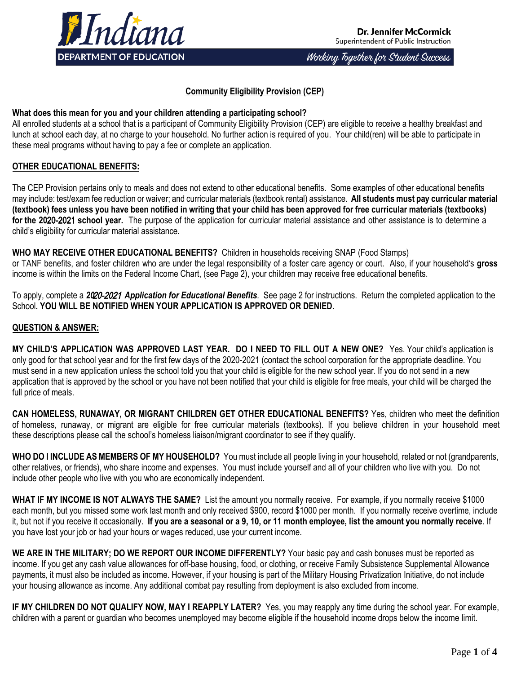

Working Together for Student Success

## **Community Eligibility Provision (CEP)**

# **What does this mean for you and your children attending a participating school?**

All enrolled students at a school that is a participant of Community Eligibility Provision (CEP) are eligible to receive a healthy breakfast and lunch at school each day, at no charge to your household. No further action is required of you. Your child(ren) will be able to participate in these meal programs without having to pay a fee or complete an application.

# **OTHER EDUCATIONAL BENEFITS:**

The CEP Provision pertains only to meals and does not extend to other educational benefits. Some examples of other educational benefits may include: test/exam fee reduction or waiver; and curricular materials (textbook rental) assistance. **All students must pay curricular material (textbook) fees unless you have been notified in writing that your child has been approved for free curricular materials (textbooks) for the 20**20-2021 **school year.** The purpose of the application for curricular material assistance and other assistance is to determine a child's eligibility for curricular material assistance.

**WHO MAY RECEIVE OTHER EDUCATIONAL BENEFITS?** Children in households receiving SNAP (Food Stamps)

or TANF benefits, and foster children who are under the legal responsibility of a foster care agency or court. Also, if your household's **gross** income is within the limits on the Federal Income Chart, (see Page 2), your children may receive free educational benefits.

To apply, complete a *20*20-2021 *Application for Educational Benefits.* See page 2 for instructions. Return the completed application to the School**. YOU WILL BE NOTIFIED WHEN YOUR APPLICATION IS APPROVED OR DENIED.** 

## **QUESTION & ANSWER:**

**MY CHILD'S APPLICATION WAS APPROVED LAST YEAR. DO I NEED TO FILL OUT A NEW ONE?** Yes. Your child's application is only good for that school year and for the first few days of the 2020-2021 (contact the school corporation for the appropriate deadline. You must send in a new application unless the school told you that your child is eligible for the new school year. If you do not send in a new application that is approved by the school or you have not been notified that your child is eligible for free meals, your child will be charged the full price of meals.

**CAN HOMELESS, RUNAWAY, OR MIGRANT CHILDREN GET OTHER EDUCATIONAL BENEFITS?** Yes, children who meet the definition of homeless, runaway, or migrant are eligible for free curricular materials (textbooks). If you believe children in your household meet these descriptions please call the school's homeless liaison/migrant coordinator to see if they qualify.

**WHO DO I INCLUDE AS MEMBERS OF MY HOUSEHOLD?** You must include all people living in your household, related or not (grandparents, other relatives, or friends), who share income and expenses. You must include yourself and all of your children who live with you. Do not include other people who live with you who are economically independent.

**WHAT IF MY INCOME IS NOT ALWAYS THE SAME?** List the amount you normally receive. For example, if you normally receive \$1000 each month, but you missed some work last month and only received \$900, record \$1000 per month. If you normally receive overtime, include it, but not if you receive it occasionally. **If you are a seasonal or a 9, 10, or 11 month employee, list the amount you normally receive**. If you have lost your job or had your hours or wages reduced, use your current income.

**WE ARE IN THE MILITARY; DO WE REPORT OUR INCOME DIFFERENTLY?** Your basic pay and cash bonuses must be reported as income. If you get any cash value allowances for off-base housing, food, or clothing, or receive Family Subsistence Supplemental Allowance payments, it must also be included as income. However, if your housing is part of the Military Housing Privatization Initiative, do not include your housing allowance as income. Any additional combat pay resulting from deployment is also excluded from income.

**IF MY CHILDREN DO NOT QUALIFY NOW, MAY I REAPPLY LATER?** Yes, you may reapply any time during the school year. For example, children with a parent or guardian who becomes unemployed may become eligible if the household income drops below the income limit.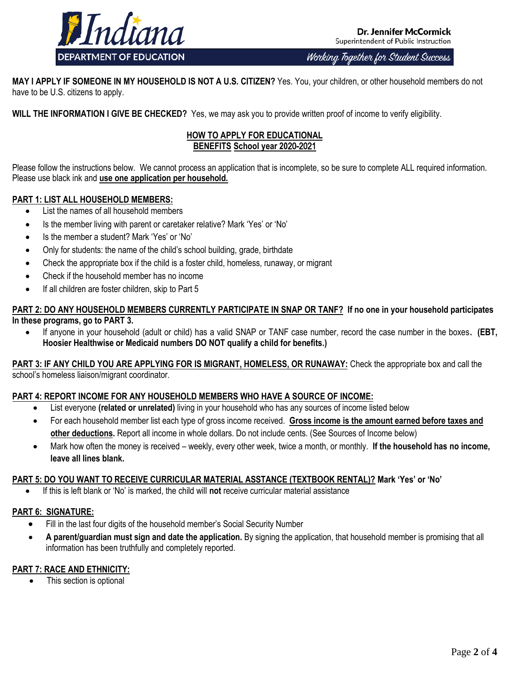

**Dr. Jennifer McCormick** Superintendent of Public Instruction

Working Together for Student Success

**MAY I APPLY IF SOMEONE IN MY HOUSEHOLD IS NOT A U.S. CITIZEN?** Yes. You, your children, or other household members do not have to be U.S. citizens to apply.

**WILL THE INFORMATION I GIVE BE CHECKED?** Yes, we may ask you to provide written proof of income to verify eligibility.

## **HOW TO APPLY FOR EDUCATIONAL BENEFITS School year 20**20-2021

Please follow the instructions below. We cannot process an application that is incomplete, so be sure to complete ALL required information. Please use black ink and **use one application per household.**

## **PART 1: LIST ALL HOUSEHOLD MEMBERS:**

- List the names of all household members
- Is the member living with parent or caretaker relative? Mark 'Yes' or 'No'
- Is the member a student? Mark 'Yes' or 'No'
- Only for students: the name of the child's school building, grade, birthdate
- Check the appropriate box if the child is a foster child, homeless, runaway, or migrant
- Check if the household member has no income
- If all children are foster children, skip to Part 5

## **PART 2: DO ANY HOUSEHOLD MEMBERS CURRENTLY PARTICIPATE IN SNAP OR TANF? If no one in your household participates In these programs, go to PART 3.**

 If anyone in your household (adult or child) has a valid SNAP or TANF case number, record the case number in the boxes**. (EBT, Hoosier Healthwise or Medicaid numbers DO NOT qualify a child for benefits.)**

**PART 3: IF ANY CHILD YOU ARE APPLYING FOR IS MIGRANT, HOMELESS, OR RUNAWAY:** Check the appropriate box and call the school's homeless liaison/migrant coordinator.

## **PART 4: REPORT INCOME FOR ANY HOUSEHOLD MEMBERS WHO HAVE A SOURCE OF INCOME:**

- List everyone **(related or unrelated)** living in your household who has any sources of income listed below
- For each household member list each type of gross income received. **Gross income is the amount earned before taxes and other deductions.** Report all income in whole dollars. Do not include cents. (See Sources of Income below)
- Mark how often the money is received weekly, every other week, twice a month, or monthly. **If the household has no income, leave all lines blank.**

### **PART 5: DO YOU WANT TO RECEIVE CURRICULAR MATERIAL ASSTANCE (TEXTBOOK RENTAL)? Mark 'Yes' or 'No'**

If this is left blank or 'No' is marked, the child will **not** receive curricular material assistance

## **PART 6: SIGNATURE:**

- Fill in the last four digits of the household member's Social Security Number
- **A parent/guardian must sign and date the application.** By signing the application, that household member is promising that all information has been truthfully and completely reported.

# **PART 7: RACE AND ETHNICITY:**

This section is optional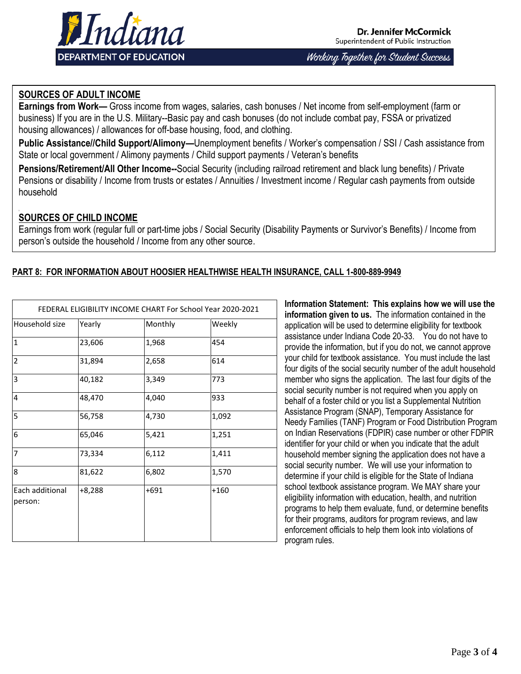

**Dr. Jennifer McCormick** Superintendent of Public Instruction

Working Together for Student Success

## **SOURCES OF ADULT INCOME**

**Earnings from Work—** Gross income from wages, salaries, cash bonuses / Net income from self-employment (farm or business) If you are in the U.S. Military--Basic pay and cash bonuses (do not include combat pay, FSSA or privatized housing allowances) / allowances for off-base housing, food, and clothing.

**Public Assistance//Child Support/Alimony—**Unemployment benefits / Worker's compensation / SSI / Cash assistance from State or local government / Alimony payments / Child support payments / Veteran's benefits

**Pensions/Retirement/All Other Income--**Social Security (including railroad retirement and black lung benefits) / Private Pensions or disability / Income from trusts or estates / Annuities / Investment income / Regular cash payments from outside household

## **SOURCES OF CHILD INCOME**

Earnings from work (regular full or part-time jobs / Social Security (Disability Payments or Survivor's Benefits) / Income from person's outside the household / Income from any other source.

## **PART 8: FOR INFORMATION ABOUT HOOSIER HEALTHWISE HEALTH INSURANCE, CALL 1-800-889-9949**

| FEDERAL ELIGIBILITY INCOME CHART For School Year 2020-2021 |          |       |        |  |  |  |  |
|------------------------------------------------------------|----------|-------|--------|--|--|--|--|
| Household size                                             | Yearly   |       | Weekly |  |  |  |  |
| $\overline{1}$                                             | 23,606   | 1,968 | 454    |  |  |  |  |
| $\overline{2}$                                             | 31,894   | 2,658 | 614    |  |  |  |  |
| $\overline{3}$                                             | 40,182   | 3,349 | 773    |  |  |  |  |
| $\overline{4}$                                             | 48,470   | 4,040 | 933    |  |  |  |  |
| 5                                                          | 56,758   | 4,730 | 1,092  |  |  |  |  |
| 6                                                          | 65,046   | 5,421 | 1,251  |  |  |  |  |
| $\overline{7}$                                             | 73,334   | 6,112 | 1,411  |  |  |  |  |
| 8                                                          | 81,622   | 6,802 | 1,570  |  |  |  |  |
| Each additional<br>person:                                 | $+8,288$ | +691  | $+160$ |  |  |  |  |

**Information Statement: This explains how we will use the information given to us.** The information contained in the application will be used to determine eligibility for textbook assistance under Indiana Code 20-33. You do not have to provide the information, but if you do not, we cannot approve your child for textbook assistance. You must include the last four digits of the social security number of the adult household member who signs the application. The last four digits of the social security number is not required when you apply on behalf of a foster child or you list a Supplemental Nutrition Assistance Program (SNAP), Temporary Assistance for Needy Families (TANF) Program or Food Distribution Program on Indian Reservations (FDPIR) case number or other FDPIR identifier for your child or when you indicate that the adult household member signing the application does not have a social security number. We will use your information to determine if your child is eligible for the State of Indiana school textbook assistance program. We MAY share your eligibility information with education, health, and nutrition programs to help them evaluate, fund, or determine benefits for their programs, auditors for program reviews, and law enforcement officials to help them look into violations of program rules.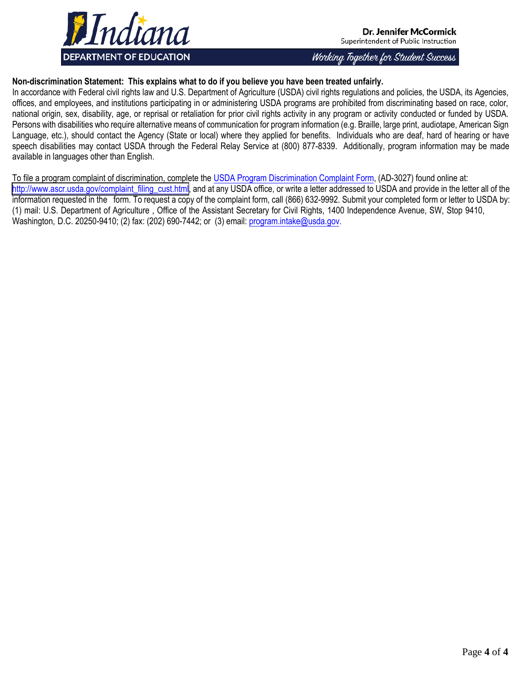

Dr. Jennifer McCormick Superintendent of Public Instruction

Working Together for Student Success

## **Non-discrimination Statement: This explains what to do if you believe you have been treated unfairly.**

In accordance with Federal civil rights law and U.S. Department of Agriculture (USDA) civil rights regulations and policies, the USDA, its Agencies, offices, and employees, and institutions participating in or administering USDA programs are prohibited from discriminating based on race, color, national origin, sex, disability, age, or reprisal or retaliation for prior civil rights activity in any program or activity conducted or funded by USDA. Persons with disabilities who require alternative means of communication for program information (e.g. Braille, large print, audiotape, American Sign Language, etc.), should contact the Agency (State or local) where they applied for benefits. Individuals who are deaf, hard of hearing or have speech disabilities may contact USDA through the Federal Relay Service at (800) 877-8339. Additionally, program information may be made available in languages other than English.

To file a program complaint of discrimination, complete the [USDA Program Discrimination Complaint Form,](http://www.ocio.usda.gov/sites/default/files/docs/2012/Complain_combined_6_8_12.pdf) (AD-3027) found online at: [http://www.ascr.usda.gov/complaint\\_filing\\_cust.html,](http://www.ascr.usda.gov/complaint_filing_cust.html) and at any USDA office, or write a letter addressed to USDA and provide in the letter all of the information requested in the form. To request a copy of the complaint form, call (866) 632-9992. Submit your completed form or letter to USDA by: (1) mail: U.S. Department of Agriculture , Office of the Assistant Secretary for Civil Rights, 1400 Independence Avenue, SW, Stop 9410, Washington, D.C. 20250-9410; (2) fax: (202) 690-7442; or (3) email[: program.intake@usda.gov.](mailto:program.intake@usda.gov)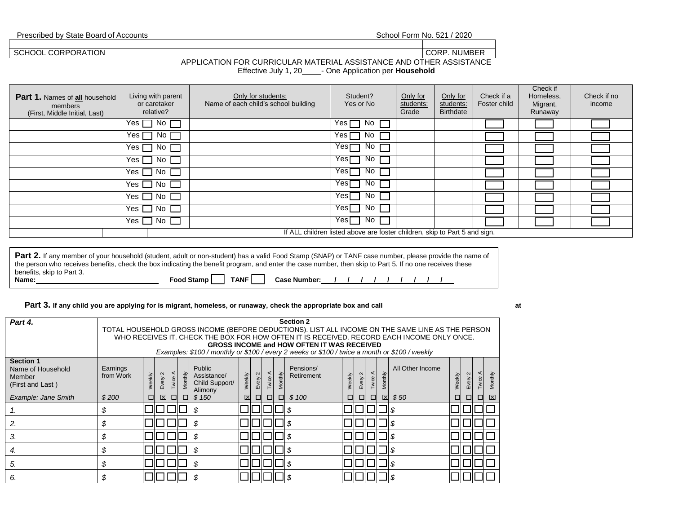| School Form No. 521 / 2020 |  |  |  |
|----------------------------|--|--|--|
|----------------------------|--|--|--|

Prescribed by State Board of Accounts

SCHOOL CORPORATION CORPORATION CORP. NUMBER

### APPLICATION FOR CURRICULAR MATERIAL ASSISTANCE AND OTHER ASSISTANCE

Effective July 1, 20\_\_\_\_\_\_- One Application per **Household** 

| $No \ \blacksquare$<br>Yes $\Box$<br>Yes I<br>No.                          |  |
|----------------------------------------------------------------------------|--|
| Yes $\Box$<br>Yes I<br>No $\Box$<br>No.                                    |  |
| Yes冖<br>No.<br>Yes $\Box$<br>No $\Gamma$                                   |  |
| No.<br>Yesl<br>$Yes \Box$<br>No L                                          |  |
| Yesl<br>No.<br>No l<br>Yes II                                              |  |
| Yes $\Box$<br>No <sub>1</sub><br>Yesl<br>No.                               |  |
| No <sub>1</sub><br>No.<br>Yes $\Box$<br>Yesl                               |  |
| No.<br>No<br>Yesl<br>Yes $\Box$                                            |  |
| Yes $\Box$ No $\Box$<br>Yesl<br>No.                                        |  |
| If ALL children listed above are foster children, skip to Part 5 and sign. |  |

Part 2. If any member of your household (student, adult or non-student) has a valid Food Stamp (SNAP) or TANF case number, please provide the name of the person who receives benefits, check the box indicating the benefit program, and enter the case number, then skip to Part 5. If no one receives these benefits, skip to Part 3.<br>Name: **Name: Food Stamp TANF Case Number: / / / / / / / / /**

### Part 3. If any child you are applying for is migrant, homeless, or runaway, check the appropriate box and call

| Part 4.                               |           | <b>Section 2</b>                                                                                                                                |                   |         |         |                |                         |         |       |         |                                                                                               |        |        |        |             |                  |        |      |        |         |
|---------------------------------------|-----------|-------------------------------------------------------------------------------------------------------------------------------------------------|-------------------|---------|---------|----------------|-------------------------|---------|-------|---------|-----------------------------------------------------------------------------------------------|--------|--------|--------|-------------|------------------|--------|------|--------|---------|
|                                       |           | TOTAL HOUSEHOLD GROSS INCOME (BEFORE DEDUCTIONS). LIST ALL INCOME ON THE SAME LINE AS THE PERSON                                                |                   |         |         |                |                         |         |       |         |                                                                                               |        |        |        |             |                  |        |      |        |         |
|                                       |           | WHO RECEIVES IT. CHECK THE BOX FOR HOW OFTEN IT IS RECEIVED. RECORD EACH INCOME ONLY ONCE.<br><b>GROSS INCOME and HOW OFTEN IT WAS RECEIVED</b> |                   |         |         |                |                         |         |       |         |                                                                                               |        |        |        |             |                  |        |      |        |         |
|                                       |           |                                                                                                                                                 |                   |         |         |                |                         |         |       |         | Examples: \$100 / monthly or \$100 / every 2 weeks or \$100 / twice a month or \$100 / weekly |        |        |        |             |                  |        |      |        |         |
|                                       |           |                                                                                                                                                 |                   |         |         |                |                         |         |       |         |                                                                                               |        |        |        |             |                  |        |      |        |         |
| <b>Section 1</b><br>Name of Household | Earnings  |                                                                                                                                                 |                   |         |         | Public         |                         |         |       |         | Pensions/                                                                                     |        |        |        |             | All Other Income |        |      |        |         |
| Member                                | from Work |                                                                                                                                                 | $\mathbf{\Omega}$ | $\prec$ |         | Assistance/    |                         |         |       |         | Retirement                                                                                    |        | $\sim$ |        |             |                  |        |      | ⋖      |         |
| (First and Last)                      |           | Weekly                                                                                                                                          | Every             | Twice.  | Monthly | Child Support/ | Weekly                  | Every 2 | Twice | Monthly |                                                                                               | Weekly | very   | Twice  | Monthly     |                  | Weekly | very | Twice. | Monthly |
|                                       |           |                                                                                                                                                 |                   |         |         | Alimony        |                         |         |       |         |                                                                                               |        |        |        |             |                  |        |      |        |         |
| Example: Jane Smith                   | \$200     | ⊡                                                                                                                                               | $\boxtimes$       | □       | $\Box$  | \$150          | $\overline{\mathbf{x}}$ | □       | п     | $\Box$  | \$100                                                                                         | о      | □      | $\Box$ | $\boxtimes$ | \$50             |        |      | □      | ⊠       |
|                                       |           |                                                                                                                                                 |                   |         |         | ۰ħ             |                         |         |       |         | - 35                                                                                          |        |        |        |             |                  |        |      |        |         |
| 2.                                    |           |                                                                                                                                                 |                   |         |         | ۰D.            |                         |         |       |         | - 35                                                                                          |        |        |        |             |                  |        |      |        |         |
| З.                                    |           |                                                                                                                                                 |                   |         |         |                |                         |         |       |         | - \$                                                                                          |        |        |        |             |                  |        |      |        |         |
| 4.                                    |           |                                                                                                                                                 |                   |         |         |                |                         |         |       |         |                                                                                               |        |        |        |             |                  |        |      |        |         |
| 5.                                    |           |                                                                                                                                                 |                   |         |         |                |                         |         |       |         |                                                                                               |        |        |        |             |                  |        |      |        |         |
| 6.                                    |           |                                                                                                                                                 |                   |         |         |                |                         |         |       |         |                                                                                               |        |        |        |             |                  |        |      |        |         |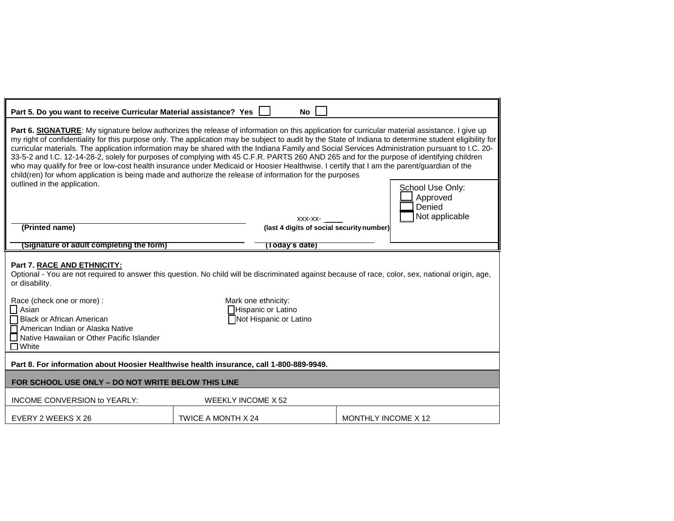| Part 5. Do you want to receive Curricular Material assistance? Yes  <br>No                                                                                                                                                                                                                                                                                                                                                                                                                                                                                                                                                                                                                                                                                                                                                                                                                        |                           |                                                                     |                     |                                                          |  |  |
|---------------------------------------------------------------------------------------------------------------------------------------------------------------------------------------------------------------------------------------------------------------------------------------------------------------------------------------------------------------------------------------------------------------------------------------------------------------------------------------------------------------------------------------------------------------------------------------------------------------------------------------------------------------------------------------------------------------------------------------------------------------------------------------------------------------------------------------------------------------------------------------------------|---------------------------|---------------------------------------------------------------------|---------------------|----------------------------------------------------------|--|--|
| Part 6. SIGNATURE: My signature below authorizes the release of information on this application for curricular material assistance. I give up<br>my right of confidentiality for this purpose only. The application may be subject to audit by the State of Indiana to determine student eligibility for<br>curricular materials. The application information may be shared with the Indiana Family and Social Services Administration pursuant to I.C. 20-<br>33-5-2 and I.C. 12-14-28-2, solely for purposes of complying with 45 C.F.R. PARTS 260 AND 265 and for the purpose of identifying children<br>who may qualify for free or low-cost health insurance under Medicaid or Hoosier Healthwise. I certify that I am the parent/guardian of the<br>child(ren) for whom application is being made and authorize the release of information for the purposes<br>outlined in the application. |                           | XXX-XX-                                                             |                     | School Use Only:<br>Approved<br>Denied<br>Not applicable |  |  |
| (Printed name)                                                                                                                                                                                                                                                                                                                                                                                                                                                                                                                                                                                                                                                                                                                                                                                                                                                                                    |                           | (last 4 digits of social security number)                           |                     |                                                          |  |  |
| (Signature of adult completing the form)                                                                                                                                                                                                                                                                                                                                                                                                                                                                                                                                                                                                                                                                                                                                                                                                                                                          |                           | (Today's date)                                                      |                     |                                                          |  |  |
| Part 7. RACE AND ETHNICITY:<br>Optional - You are not required to answer this question. No child will be discriminated against because of race, color, sex, national origin, age,<br>or disability.<br>Race (check one or more) :<br><b>□</b> Asian<br><b>Black or African American</b><br>$\Box$ American Indian or Alaska Native<br>□ Native Hawaiian or Other Pacific Islander<br>$\Box$ White                                                                                                                                                                                                                                                                                                                                                                                                                                                                                                 |                           | Mark one ethnicity:<br>Hispanic or Latino<br>Not Hispanic or Latino |                     |                                                          |  |  |
| Part 8. For information about Hoosier Healthwise health insurance, call 1-800-889-9949.                                                                                                                                                                                                                                                                                                                                                                                                                                                                                                                                                                                                                                                                                                                                                                                                           |                           |                                                                     |                     |                                                          |  |  |
| FOR SCHOOL USE ONLY - DO NOT WRITE BELOW THIS LINE                                                                                                                                                                                                                                                                                                                                                                                                                                                                                                                                                                                                                                                                                                                                                                                                                                                |                           |                                                                     |                     |                                                          |  |  |
| <b>INCOME CONVERSION to YEARLY:</b>                                                                                                                                                                                                                                                                                                                                                                                                                                                                                                                                                                                                                                                                                                                                                                                                                                                               | <b>WEEKLY INCOME X 52</b> |                                                                     |                     |                                                          |  |  |
| EVERY 2 WEEKS X 26                                                                                                                                                                                                                                                                                                                                                                                                                                                                                                                                                                                                                                                                                                                                                                                                                                                                                | TWICE A MONTH X 24        |                                                                     | MONTHLY INCOME X 12 |                                                          |  |  |